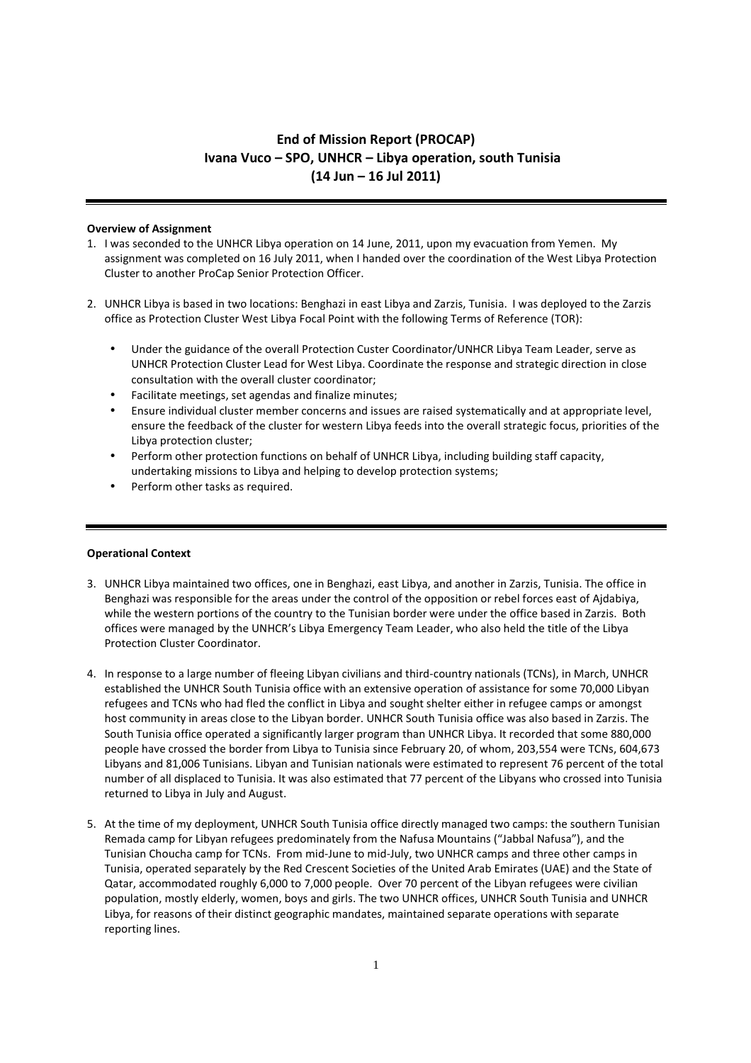# End of Mission Report (PROCAP) Ivana Vuco – SPO, UNHCR – Libya operation, south Tunisia (14 Jun – 16 Jul 2011)

## Overview of Assignment

- 1. I was seconded to the UNHCR Libya operation on 14 June, 2011, upon my evacuation from Yemen. My assignment was completed on 16 July 2011, when I handed over the coordination of the West Libya Protection Cluster to another ProCap Senior Protection Officer.
- 2. UNHCR Libya is based in two locations: Benghazi in east Libya and Zarzis, Tunisia. I was deployed to the Zarzis office as Protection Cluster West Libya Focal Point with the following Terms of Reference (TOR):
	- Under the guidance of the overall Protection Custer Coordinator/UNHCR Libya Team Leader, serve as UNHCR Protection Cluster Lead for West Libya. Coordinate the response and strategic direction in close consultation with the overall cluster coordinator;
	- Facilitate meetings, set agendas and finalize minutes;
	- Ensure individual cluster member concerns and issues are raised systematically and at appropriate level, ensure the feedback of the cluster for western Libya feeds into the overall strategic focus, priorities of the Libya protection cluster;
	- Perform other protection functions on behalf of UNHCR Libya, including building staff capacity, undertaking missions to Libya and helping to develop protection systems;
	- Perform other tasks as required.

# Operational Context

- 3. UNHCR Libya maintained two offices, one in Benghazi, east Libya, and another in Zarzis, Tunisia. The office in Benghazi was responsible for the areas under the control of the opposition or rebel forces east of Ajdabiya, while the western portions of the country to the Tunisian border were under the office based in Zarzis. Both offices were managed by the UNHCR's Libya Emergency Team Leader, who also held the title of the Libya Protection Cluster Coordinator.
- 4. In response to a large number of fleeing Libyan civilians and third-country nationals (TCNs), in March, UNHCR established the UNHCR South Tunisia office with an extensive operation of assistance for some 70,000 Libyan refugees and TCNs who had fled the conflict in Libya and sought shelter either in refugee camps or amongst host community in areas close to the Libyan border. UNHCR South Tunisia office was also based in Zarzis. The South Tunisia office operated a significantly larger program than UNHCR Libya. It recorded that some 880,000 people have crossed the border from Libya to Tunisia since February 20, of whom, 203,554 were TCNs, 604,673 Libyans and 81,006 Tunisians. Libyan and Tunisian nationals were estimated to represent 76 percent of the total number of all displaced to Tunisia. It was also estimated that 77 percent of the Libyans who crossed into Tunisia returned to Libya in July and August.
- 5. At the time of my deployment, UNHCR South Tunisia office directly managed two camps: the southern Tunisian Remada camp for Libyan refugees predominately from the Nafusa Mountains ("Jabbal Nafusa"), and the Tunisian Choucha camp for TCNs. From mid-June to mid-July, two UNHCR camps and three other camps in Tunisia, operated separately by the Red Crescent Societies of the United Arab Emirates (UAE) and the State of Qatar, accommodated roughly 6,000 to 7,000 people. Over 70 percent of the Libyan refugees were civilian population, mostly elderly, women, boys and girls. The two UNHCR offices, UNHCR South Tunisia and UNHCR Libya, for reasons of their distinct geographic mandates, maintained separate operations with separate reporting lines.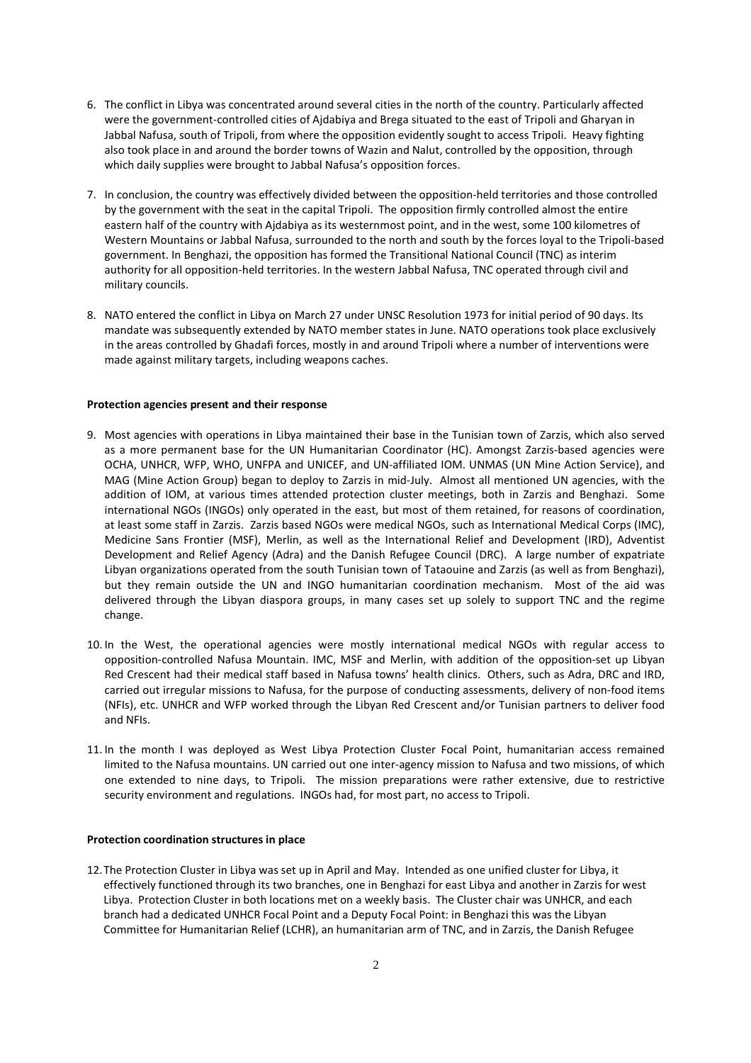- 6. The conflict in Libya was concentrated around several cities in the north of the country. Particularly affected were the government-controlled cities of Ajdabiya and Brega situated to the east of Tripoli and Gharyan in Jabbal Nafusa, south of Tripoli, from where the opposition evidently sought to access Tripoli. Heavy fighting also took place in and around the border towns of Wazin and Nalut, controlled by the opposition, through which daily supplies were brought to Jabbal Nafusa's opposition forces.
- 7. In conclusion, the country was effectively divided between the opposition-held territories and those controlled by the government with the seat in the capital Tripoli. The opposition firmly controlled almost the entire eastern half of the country with Ajdabiya as its westernmost point, and in the west, some 100 kilometres of Western Mountains or Jabbal Nafusa, surrounded to the north and south by the forces loyal to the Tripoli-based government. In Benghazi, the opposition has formed the Transitional National Council (TNC) as interim authority for all opposition-held territories. In the western Jabbal Nafusa, TNC operated through civil and military councils.
- 8. NATO entered the conflict in Libya on March 27 under UNSC Resolution 1973 for initial period of 90 days. Its mandate was subsequently extended by NATO member states in June. NATO operations took place exclusively in the areas controlled by Ghadafi forces, mostly in and around Tripoli where a number of interventions were made against military targets, including weapons caches.

### Protection agencies present and their response

- 9. Most agencies with operations in Libya maintained their base in the Tunisian town of Zarzis, which also served as a more permanent base for the UN Humanitarian Coordinator (HC). Amongst Zarzis-based agencies were OCHA, UNHCR, WFP, WHO, UNFPA and UNICEF, and UN-affiliated IOM. UNMAS (UN Mine Action Service), and MAG (Mine Action Group) began to deploy to Zarzis in mid-July. Almost all mentioned UN agencies, with the addition of IOM, at various times attended protection cluster meetings, both in Zarzis and Benghazi. Some international NGOs (INGOs) only operated in the east, but most of them retained, for reasons of coordination, at least some staff in Zarzis. Zarzis based NGOs were medical NGOs, such as International Medical Corps (IMC), Medicine Sans Frontier (MSF), Merlin, as well as the International Relief and Development (IRD), Adventist Development and Relief Agency (Adra) and the Danish Refugee Council (DRC). A large number of expatriate Libyan organizations operated from the south Tunisian town of Tataouine and Zarzis (as well as from Benghazi), but they remain outside the UN and INGO humanitarian coordination mechanism. Most of the aid was delivered through the Libyan diaspora groups, in many cases set up solely to support TNC and the regime change.
- 10. In the West, the operational agencies were mostly international medical NGOs with regular access to opposition-controlled Nafusa Mountain. IMC, MSF and Merlin, with addition of the opposition-set up Libyan Red Crescent had their medical staff based in Nafusa towns' health clinics. Others, such as Adra, DRC and IRD, carried out irregular missions to Nafusa, for the purpose of conducting assessments, delivery of non-food items (NFIs), etc. UNHCR and WFP worked through the Libyan Red Crescent and/or Tunisian partners to deliver food and NFIs.
- 11. In the month I was deployed as West Libya Protection Cluster Focal Point, humanitarian access remained limited to the Nafusa mountains. UN carried out one inter-agency mission to Nafusa and two missions, of which one extended to nine days, to Tripoli. The mission preparations were rather extensive, due to restrictive security environment and regulations. INGOs had, for most part, no access to Tripoli.

## Protection coordination structures in place

12.The Protection Cluster in Libya was set up in April and May. Intended as one unified cluster for Libya, it effectively functioned through its two branches, one in Benghazi for east Libya and another in Zarzis for west Libya. Protection Cluster in both locations met on a weekly basis. The Cluster chair was UNHCR, and each branch had a dedicated UNHCR Focal Point and a Deputy Focal Point: in Benghazi this was the Libyan Committee for Humanitarian Relief (LCHR), an humanitarian arm of TNC, and in Zarzis, the Danish Refugee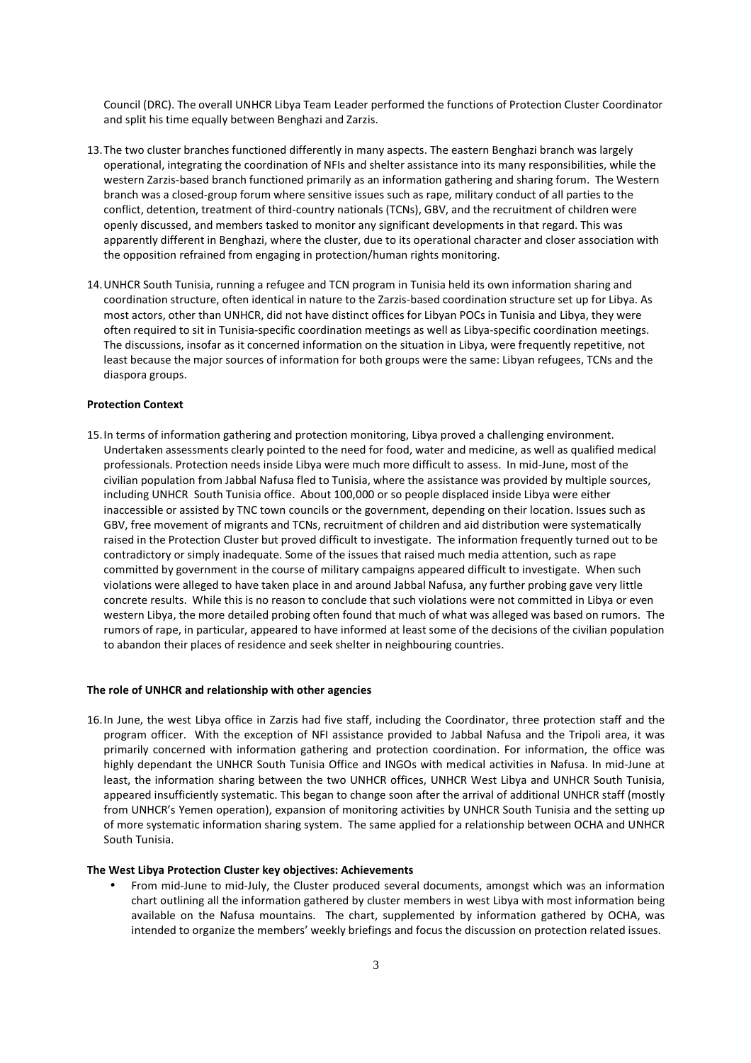Council (DRC). The overall UNHCR Libya Team Leader performed the functions of Protection Cluster Coordinator and split his time equally between Benghazi and Zarzis.

- 13.The two cluster branches functioned differently in many aspects. The eastern Benghazi branch was largely operational, integrating the coordination of NFIs and shelter assistance into its many responsibilities, while the western Zarzis-based branch functioned primarily as an information gathering and sharing forum. The Western branch was a closed-group forum where sensitive issues such as rape, military conduct of all parties to the conflict, detention, treatment of third-country nationals (TCNs), GBV, and the recruitment of children were openly discussed, and members tasked to monitor any significant developments in that regard. This was apparently different in Benghazi, where the cluster, due to its operational character and closer association with the opposition refrained from engaging in protection/human rights monitoring.
- 14.UNHCR South Tunisia, running a refugee and TCN program in Tunisia held its own information sharing and coordination structure, often identical in nature to the Zarzis-based coordination structure set up for Libya. As most actors, other than UNHCR, did not have distinct offices for Libyan POCs in Tunisia and Libya, they were often required to sit in Tunisia-specific coordination meetings as well as Libya-specific coordination meetings. The discussions, insofar as it concerned information on the situation in Libya, were frequently repetitive, not least because the major sources of information for both groups were the same: Libyan refugees, TCNs and the diaspora groups.

### Protection Context

15.In terms of information gathering and protection monitoring, Libya proved a challenging environment. Undertaken assessments clearly pointed to the need for food, water and medicine, as well as qualified medical professionals. Protection needs inside Libya were much more difficult to assess. In mid-June, most of the civilian population from Jabbal Nafusa fled to Tunisia, where the assistance was provided by multiple sources, including UNHCR South Tunisia office. About 100,000 or so people displaced inside Libya were either inaccessible or assisted by TNC town councils or the government, depending on their location. Issues such as GBV, free movement of migrants and TCNs, recruitment of children and aid distribution were systematically raised in the Protection Cluster but proved difficult to investigate. The information frequently turned out to be contradictory or simply inadequate. Some of the issues that raised much media attention, such as rape committed by government in the course of military campaigns appeared difficult to investigate. When such violations were alleged to have taken place in and around Jabbal Nafusa, any further probing gave very little concrete results. While this is no reason to conclude that such violations were not committed in Libya or even western Libya, the more detailed probing often found that much of what was alleged was based on rumors. The rumors of rape, in particular, appeared to have informed at least some of the decisions of the civilian population to abandon their places of residence and seek shelter in neighbouring countries.

#### The role of UNHCR and relationship with other agencies

16.In June, the west Libya office in Zarzis had five staff, including the Coordinator, three protection staff and the program officer. With the exception of NFI assistance provided to Jabbal Nafusa and the Tripoli area, it was primarily concerned with information gathering and protection coordination. For information, the office was highly dependant the UNHCR South Tunisia Office and INGOs with medical activities in Nafusa. In mid-June at least, the information sharing between the two UNHCR offices, UNHCR West Libya and UNHCR South Tunisia, appeared insufficiently systematic. This began to change soon after the arrival of additional UNHCR staff (mostly from UNHCR's Yemen operation), expansion of monitoring activities by UNHCR South Tunisia and the setting up of more systematic information sharing system. The same applied for a relationship between OCHA and UNHCR South Tunisia.

#### The West Libya Protection Cluster key objectives: Achievements

• From mid-June to mid-July, the Cluster produced several documents, amongst which was an information chart outlining all the information gathered by cluster members in west Libya with most information being available on the Nafusa mountains. The chart, supplemented by information gathered by OCHA, was intended to organize the members' weekly briefings and focus the discussion on protection related issues.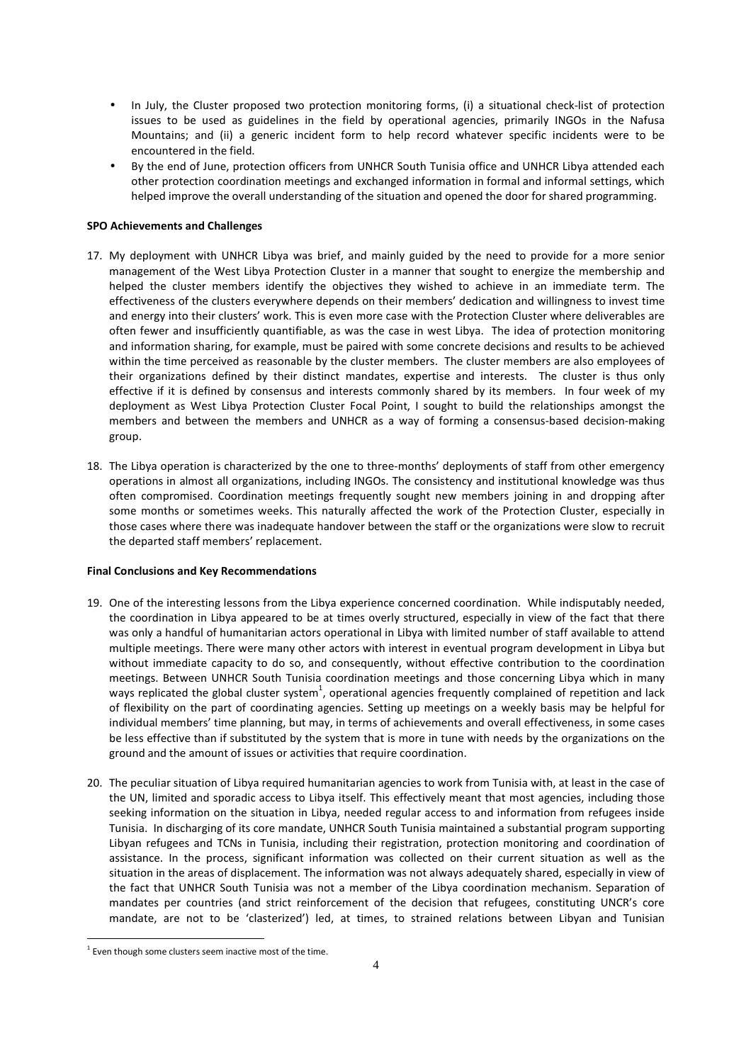- In July, the Cluster proposed two protection monitoring forms, (i) a situational check-list of protection issues to be used as guidelines in the field by operational agencies, primarily INGOs in the Nafusa Mountains; and (ii) a generic incident form to help record whatever specific incidents were to be encountered in the field.
- By the end of June, protection officers from UNHCR South Tunisia office and UNHCR Libya attended each other protection coordination meetings and exchanged information in formal and informal settings, which helped improve the overall understanding of the situation and opened the door for shared programming.

# SPO Achievements and Challenges

- 17. My deployment with UNHCR Libya was brief, and mainly guided by the need to provide for a more senior management of the West Libya Protection Cluster in a manner that sought to energize the membership and helped the cluster members identify the objectives they wished to achieve in an immediate term. The effectiveness of the clusters everywhere depends on their members' dedication and willingness to invest time and energy into their clusters' work. This is even more case with the Protection Cluster where deliverables are often fewer and insufficiently quantifiable, as was the case in west Libya. The idea of protection monitoring and information sharing, for example, must be paired with some concrete decisions and results to be achieved within the time perceived as reasonable by the cluster members. The cluster members are also employees of their organizations defined by their distinct mandates, expertise and interests. The cluster is thus only effective if it is defined by consensus and interests commonly shared by its members. In four week of my deployment as West Libya Protection Cluster Focal Point, I sought to build the relationships amongst the members and between the members and UNHCR as a way of forming a consensus-based decision-making group.
- 18. The Libya operation is characterized by the one to three-months' deployments of staff from other emergency operations in almost all organizations, including INGOs. The consistency and institutional knowledge was thus often compromised. Coordination meetings frequently sought new members joining in and dropping after some months or sometimes weeks. This naturally affected the work of the Protection Cluster, especially in those cases where there was inadequate handover between the staff or the organizations were slow to recruit the departed staff members' replacement.

# Final Conclusions and Key Recommendations

- 19. One of the interesting lessons from the Libya experience concerned coordination. While indisputably needed, the coordination in Libya appeared to be at times overly structured, especially in view of the fact that there was only a handful of humanitarian actors operational in Libya with limited number of staff available to attend multiple meetings. There were many other actors with interest in eventual program development in Libya but without immediate capacity to do so, and consequently, without effective contribution to the coordination meetings. Between UNHCR South Tunisia coordination meetings and those concerning Libya which in many ways replicated the global cluster system<sup>1</sup>, operational agencies frequently complained of repetition and lack of flexibility on the part of coordinating agencies. Setting up meetings on a weekly basis may be helpful for individual members' time planning, but may, in terms of achievements and overall effectiveness, in some cases be less effective than if substituted by the system that is more in tune with needs by the organizations on the ground and the amount of issues or activities that require coordination.
- 20. The peculiar situation of Libya required humanitarian agencies to work from Tunisia with, at least in the case of the UN, limited and sporadic access to Libya itself. This effectively meant that most agencies, including those seeking information on the situation in Libya, needed regular access to and information from refugees inside Tunisia. In discharging of its core mandate, UNHCR South Tunisia maintained a substantial program supporting Libyan refugees and TCNs in Tunisia, including their registration, protection monitoring and coordination of assistance. In the process, significant information was collected on their current situation as well as the situation in the areas of displacement. The information was not always adequately shared, especially in view of the fact that UNHCR South Tunisia was not a member of the Libya coordination mechanism. Separation of mandates per countries (and strict reinforcement of the decision that refugees, constituting UNCR's core mandate, are not to be 'clasterized') led, at times, to strained relations between Libyan and Tunisian

 $\overline{a}$ 

 $1$  Even though some clusters seem inactive most of the time.